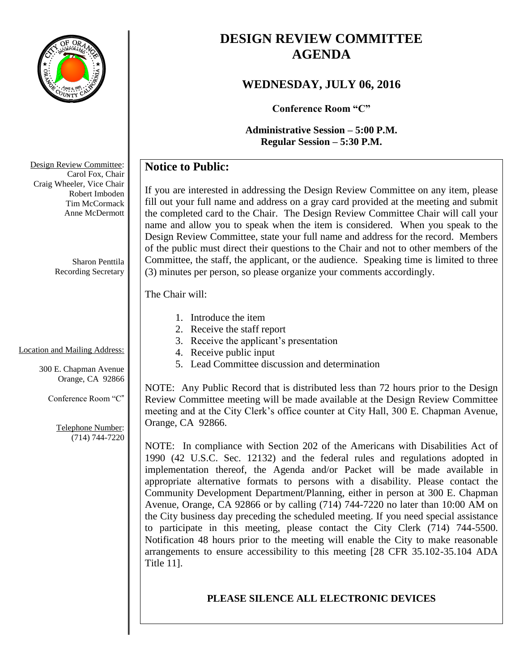

# **DESIGN REVIEW COMMITTEE AGENDA**

# **WEDNESDAY, JULY 06, 2016**

**Conference Room "C"**

**Administrative Session – 5:00 P.M. Regular Session – 5:30 P.M.**

# **Notice to Public:**

If you are interested in addressing the Design Review Committee on any item, please fill out your full name and address on a gray card provided at the meeting and submit the completed card to the Chair. The Design Review Committee Chair will call your name and allow you to speak when the item is considered. When you speak to the Design Review Committee, state your full name and address for the record. Members of the public must direct their questions to the Chair and not to other members of the Committee, the staff, the applicant, or the audience. Speaking time is limited to three (3) minutes per person, so please organize your comments accordingly.

## The Chair will:

- 1. Introduce the item
- 2. Receive the staff report
- 3. Receive the applicant's presentation
- 4. Receive public input
- 5. Lead Committee discussion and determination

NOTE: Any Public Record that is distributed less than 72 hours prior to the Design Review Committee meeting will be made available at the Design Review Committee meeting and at the City Clerk's office counter at City Hall, 300 E. Chapman Avenue, Orange, CA 92866.

NOTE: In compliance with Section 202 of the Americans with Disabilities Act of 1990 (42 U.S.C. Sec. 12132) and the federal rules and regulations adopted in implementation thereof, the Agenda and/or Packet will be made available in appropriate alternative formats to persons with a disability. Please contact the Community Development Department/Planning, either in person at 300 E. Chapman Avenue, Orange, CA 92866 or by calling (714) 744-7220 no later than 10:00 AM on the City business day preceding the scheduled meeting. If you need special assistance to participate in this meeting, please contact the City Clerk (714) 744-5500. Notification 48 hours prior to the meeting will enable the City to make reasonable arrangements to ensure accessibility to this meeting [28 CFR 35.102-35.104 ADA Title 11].

# **PLEASE SILENCE ALL ELECTRONIC DEVICES**

Design Review Committee: Carol Fox, Chair Craig Wheeler, Vice Chair Robert Imboden Tim McCormack Anne McDermott

> Sharon Penttila Recording Secretary

#### Location and Mailing Address:

300 E. Chapman Avenue Orange, CA 92866

Conference Room "C"

Telephone Number: (714) 744-7220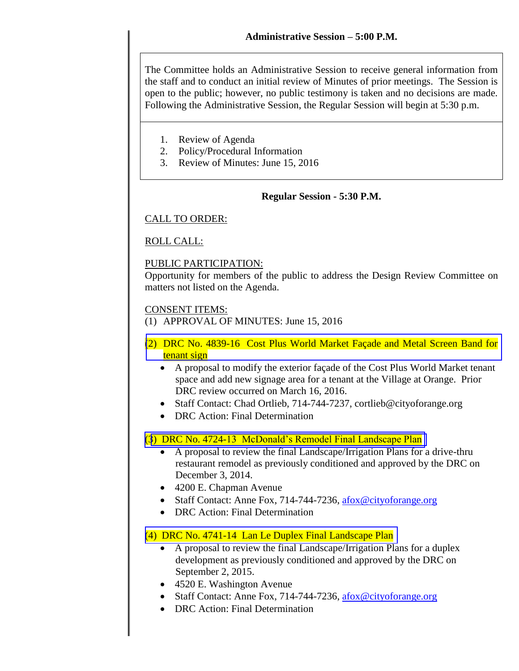The Committee holds an Administrative Session to receive general information from the staff and to conduct an initial review of Minutes of prior meetings. The Session is open to the public; however, no public testimony is taken and no decisions are made. Following the Administrative Session, the Regular Session will begin at 5:30 p.m.

- 1. Review of Agenda
- 2. Policy/Procedural Information
- 3. Review of Minutes: June 15, 2016

#### **Regular Session - 5:30 P.M.**

#### CALL TO ORDER:

#### ROLL CALL:

#### PUBLIC PARTICIPATION:

Opportunity for members of the public to address the Design Review Committee on matters not listed on the Agenda.

#### CONSENT ITEMS:

- (1) APPROVAL OF MINUTES: June 15, 2016
- (2) [DRC No. 4839-16 Cost Plus World Market Façade and Metal Screen Band for](http://www.cityoforange.org/civicax/filebank/blobdload.aspx?BlobID=17945) tenant sign
	- A proposal to modify the exterior façade of the Cost Plus World Market tenant space and add new signage area for a tenant at the Village at Orange. Prior DRC review occurred on March 16, 2016.
	- Staff Contact: Chad Ortlieb, 714-744-7237, cortlieb@cityoforange.org
	- DRC Action: Final Determination

#### (3) [DRC No. 4724-13 McDonald's Remodel Final Landscape Plan](http://www.cityoforange.org/civicax/filebank/blobdload.aspx?BlobID=17946)

- A proposal to review the final Landscape/Irrigation Plans for a drive-thru restaurant remodel as previously conditioned and approved by the DRC on December 3, 2014.
- 4200 E. Chapman Avenue
- Staff Contact: Anne Fox, 714-744-7236, [afox@cityoforange.org](mailto:afox@cityoforange.org)
- DRC Action: Final Determination

#### [\(4\) DRC No. 4741-14 Lan Le Duplex Final Landscape Plan](http://www.cityoforange.org/civicax/filebank/blobdload.aspx?BlobID=17947)

- A proposal to review the final Landscape/Irrigation Plans for a duplex development as previously conditioned and approved by the DRC on September 2, 2015.
- 4520 E. Washington Avenue
- Staff Contact: Anne Fox, 714-744-7236, [afox@cityoforange.org](mailto:afox@cityoforange.org)
- DRC Action: Final Determination